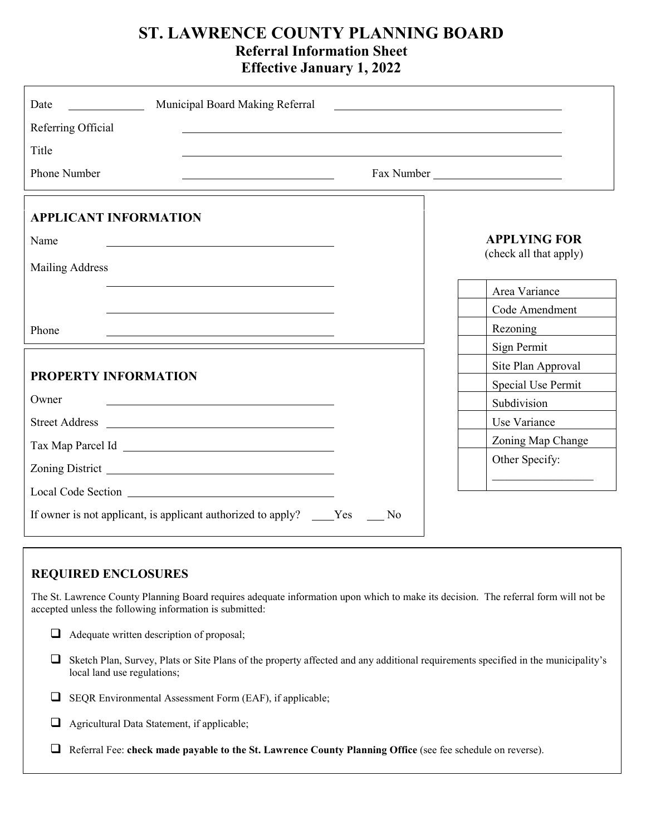# **ST. LAWRENCE COUNTY PLANNING BOARD Referral Information Sheet Effective January 1, 2022**

| Municipal Board Making Referral<br>Date<br><u> Louis Communication</u> | <u> 1989 - Andrea Branden, amerikansk politik (</u> |
|------------------------------------------------------------------------|-----------------------------------------------------|
| Referring Official                                                     |                                                     |
| Title                                                                  |                                                     |
| <b>Phone Number</b>                                                    | Fax Number                                          |
| <b>APPLICANT INFORMATION</b>                                           |                                                     |
| Name                                                                   | <b>APPLYING FOR</b>                                 |
| <b>Mailing Address</b>                                                 | (check all that apply)                              |
|                                                                        | Area Variance                                       |
|                                                                        | Code Amendment                                      |
| Phone                                                                  | Rezoning                                            |
|                                                                        | Sign Permit                                         |
|                                                                        | Site Plan Approval                                  |
| <b>PROPERTY INFORMATION</b>                                            | Special Use Permit                                  |
| Owner                                                                  | Subdivision                                         |
|                                                                        | Use Variance                                        |
|                                                                        | Zoning Map Change                                   |
|                                                                        | Other Specify:                                      |
|                                                                        | <u> 1999 - Johann Stoff, amerikansk politiker (</u> |
| If owner is not applicant, is applicant authorized to apply? _____Yes  | N <sub>0</sub>                                      |

#### $\mathcal{L}$ **REQUIRED ENCLOSURES**

The St. Lawrence County Planning Board requires adequate information upon which to make its decision. The referral form will not be accepted unless the following information is submitted:

- $\Box$  Adequate written description of proposal;
- Sketch Plan, Survey, Plats or Site Plans of the property affected and any additional requirements specified in the municipality's local land use regulations;
- $\Box$  SEQR Environmental Assessment Form (EAF), if applicable;
- Agricultural Data Statement, if applicable;
- Referral Fee: **check made payable to the St. Lawrence County Planning Office** (see fee schedule on reverse).